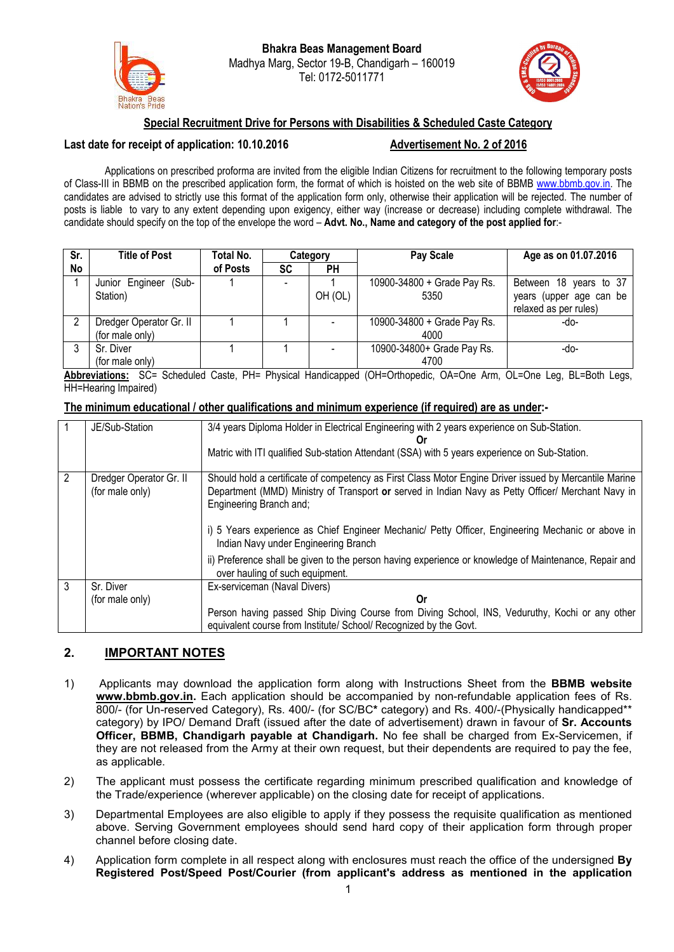



## Special Recruitment Drive for Persons with Disabilities & Scheduled Caste Category

### Last date for receipt of application: 10.10.2016 Advertisement No. 2 of 2016

Applications on prescribed proforma are invited from the eligible Indian Citizens for recruitment to the following temporary posts of Class-III in BBMB on the prescribed application form, the format of which is hoisted on the web site of BBMB [www.bbmb.gov.in](http://www.bbmb.gov.in/). The candidates are advised to strictly use this format of the application form only, otherwise their application will be rejected. The number of posts is liable to vary to any extent depending upon exigency, either way (increase or decrease) including complete withdrawal. The candidate should specify on the top of the envelope the word – Advt. No., Name and category of the post applied for:-

| Sr.       | <b>Title of Post</b>     | Total No. |    | Category  | Pay Scale                   | Age as on 01.07.2016    |
|-----------|--------------------------|-----------|----|-----------|-----------------------------|-------------------------|
| <b>No</b> |                          | of Posts  | SC | <b>PH</b> |                             |                         |
|           | (Sub-<br>Junior Engineer |           |    |           | 10900-34800 + Grade Pay Rs. | Between 18 years to 37  |
|           | Station)                 |           |    | OH (OL)   | 5350                        | years (upper age can be |
|           |                          |           |    |           |                             | relaxed as per rules)   |
|           | Dredger Operator Gr. II  |           |    |           | 10900-34800 + Grade Pay Rs. | -do-                    |
|           | (for male only)          |           |    |           | 4000                        |                         |
|           | Sr. Diver                |           |    |           | 10900-34800+ Grade Pay Rs.  | -do-                    |
|           | (for male only)          |           |    |           | 4700                        |                         |

Abbreviations: SC= Scheduled Caste, PH= Physical Handicapped (OH=Orthopedic, OA=One Arm, OL=One Leg, BL=Both Legs, HH=Hearing Impaired)

### The minimum educational / other qualifications and minimum experience (if required) are as under:-

|                | JE/Sub-Station          | 3/4 years Diploma Holder in Electrical Engineering with 2 years experience on Sub-Station.             |  |  |
|----------------|-------------------------|--------------------------------------------------------------------------------------------------------|--|--|
|                |                         | Or                                                                                                     |  |  |
|                |                         | Matric with ITI qualified Sub-station Attendant (SSA) with 5 years experience on Sub-Station.          |  |  |
|                |                         |                                                                                                        |  |  |
| $\overline{2}$ | Dredger Operator Gr. II | Should hold a certificate of competency as First Class Motor Engine Driver issued by Mercantile Marine |  |  |
|                | (for male only)         | Department (MMD) Ministry of Transport or served in Indian Navy as Petty Officer/ Merchant Navy in     |  |  |
|                |                         | Engineering Branch and;                                                                                |  |  |
|                |                         |                                                                                                        |  |  |
|                |                         |                                                                                                        |  |  |
|                |                         | i) 5 Years experience as Chief Engineer Mechanic/ Petty Officer, Engineering Mechanic or above in      |  |  |
|                |                         | Indian Navy under Engineering Branch                                                                   |  |  |
|                |                         | ii) Preference shall be given to the person having experience or knowledge of Maintenance, Repair and  |  |  |
|                |                         | over hauling of such equipment.                                                                        |  |  |
| 3              | Sr. Diver               | Ex-serviceman (Naval Divers)                                                                           |  |  |
|                |                         |                                                                                                        |  |  |
|                | (for male only)         | Or                                                                                                     |  |  |
|                |                         | Person having passed Ship Diving Course from Diving School, INS, Veduruthy, Kochi or any other         |  |  |
|                |                         | equivalent course from Institute/ School/ Recognized by the Govt.                                      |  |  |
|                |                         |                                                                                                        |  |  |

# 2. IMPORTANT NOTES

- 1) Applicants may download the application form along with Instructions Sheet from the BBMB website [www.bbmb.gov.in](http://www.bbmb.gov.in/). Each application should be accompanied by non-refundable application fees of Rs. 800/- (for Un-reserved Category), Rs. 400/- (for SC/BC\* category) and Rs. 400/-(Physically handicapped\*\* category) by IPO/ Demand Draft (issued after the date of advertisement) drawn in favour of Sr. Accounts Officer, BBMB, Chandigarh payable at Chandigarh. No fee shall be charged from Ex-Servicemen, if they are not released from the Army at their own request, but their dependents are required to pay the fee, as applicable.
- 2) The applicant must possess the certificate regarding minimum prescribed qualification and knowledge of the Trade/experience (wherever applicable) on the closing date for receipt of applications.
- 3) Departmental Employees are also eligible to apply if they possess the requisite qualification as mentioned above. Serving Government employees should send hard copy of their application form through proper channel before closing date.
- 4) Application form complete in all respect along with enclosures must reach the office of the undersigned By Registered Post/Speed Post/Courier (from applicant's address as mentioned in the application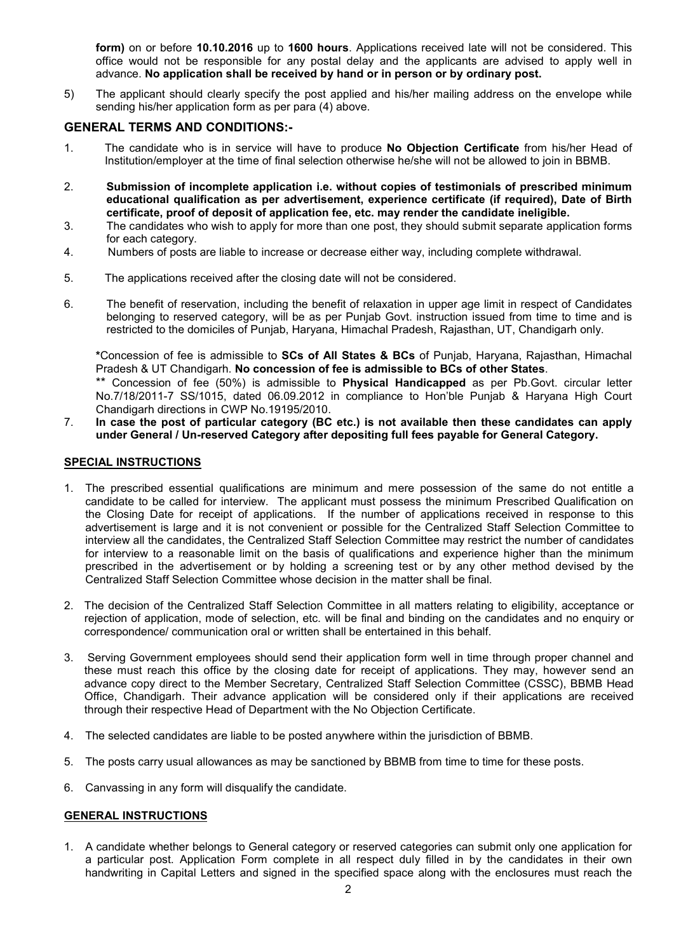form) on or before 10.10.2016 up to 1600 hours. Applications received late will not be considered. This office would not be responsible for any postal delay and the applicants are advised to apply well in advance. No application shall be received by hand or in person or by ordinary post.

5) The applicant should clearly specify the post applied and his/her mailing address on the envelope while sending his/her application form as per para (4) above.

#### GENERAL TERMS AND CONDITIONS:-

- 1. The candidate who is in service will have to produce No Objection Certificate from his/her Head of Institution/employer at the time of final selection otherwise he/she will not be allowed to join in BBMB.
- 2. Submission of incomplete application i.e. without copies of testimonials of prescribed minimum educational qualification as per advertisement, experience certificate (if required), Date of Birth certificate, proof of deposit of application fee, etc. may render the candidate ineligible.
- 3. The candidates who wish to apply for more than one post, they should submit separate application forms for each category.
- 4. Numbers of posts are liable to increase or decrease either way, including complete withdrawal.
- 5. The applications received after the closing date will not be considered.
- 6. The benefit of reservation, including the benefit of relaxation in upper age limit in respect of Candidates belonging to reserved category, will be as per Punjab Govt. instruction issued from time to time and is restricted to the domiciles of Punjab, Haryana, Himachal Pradesh, Rajasthan, UT, Chandigarh only.

\*Concession of fee is admissible to SCs of All States & BCs of Punjab, Haryana, Rajasthan, Himachal Pradesh & UT Chandigarh. No concession of fee is admissible to BCs of other States.

\*\* Concession of fee (50%) is admissible to **Physical Handicapped** as per Pb.Govt. circular letter No.7/18/2011-7 SS/1015, dated 06.09.2012 in compliance to Hon'ble Punjab & Haryana High Court Chandigarh directions in CWP No.19195/2010.

7. In case the post of particular category (BC etc.) is not available then these candidates can apply under General / Un-reserved Category after depositing full fees payable for General Category.

#### SPECIAL INSTRUCTIONS

- 1. The prescribed essential qualifications are minimum and mere possession of the same do not entitle a candidate to be called for interview. The applicant must possess the minimum Prescribed Qualification on the Closing Date for receipt of applications. If the number of applications received in response to this advertisement is large and it is not convenient or possible for the Centralized Staff Selection Committee to interview all the candidates, the Centralized Staff Selection Committee may restrict the number of candidates for interview to a reasonable limit on the basis of qualifications and experience higher than the minimum prescribed in the advertisement or by holding a screening test or by any other method devised by the Centralized Staff Selection Committee whose decision in the matter shall be final.
- 2. The decision of the Centralized Staff Selection Committee in all matters relating to eligibility, acceptance or rejection of application, mode of selection, etc. will be final and binding on the candidates and no enquiry or correspondence/ communication oral or written shall be entertained in this behalf.
- 3. Serving Government employees should send their application form well in time through proper channel and these must reach this office by the closing date for receipt of applications. They may, however send an advance copy direct to the Member Secretary, Centralized Staff Selection Committee (CSSC), BBMB Head Office, Chandigarh. Their advance application will be considered only if their applications are received through their respective Head of Department with the No Objection Certificate.
- 4. The selected candidates are liable to be posted anywhere within the jurisdiction of BBMB.
- 5. The posts carry usual allowances as may be sanctioned by BBMB from time to time for these posts.
- 6. Canvassing in any form will disqualify the candidate.

#### GENERAL INSTRUCTIONS

1. A candidate whether belongs to General category or reserved categories can submit only one application for a particular post. Application Form complete in all respect duly filled in by the candidates in their own handwriting in Capital Letters and signed in the specified space along with the enclosures must reach the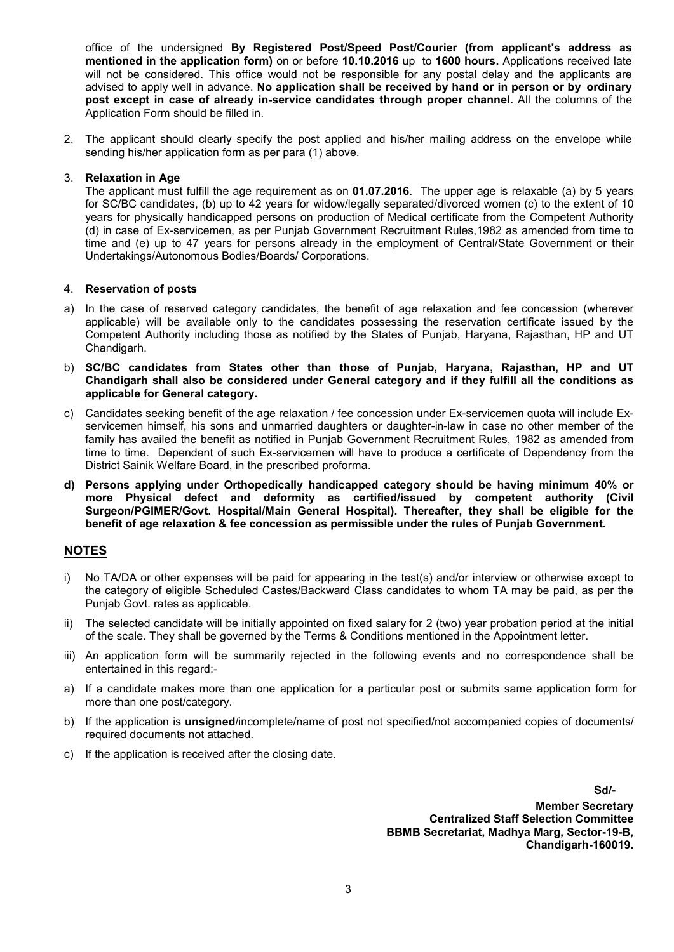office of the undersigned By Registered Post/Speed Post/Courier (from applicant's address as mentioned in the application form) on or before 10.10.2016 up to 1600 hours. Applications received late will not be considered. This office would not be responsible for any postal delay and the applicants are advised to apply well in advance. No application shall be received by hand or in person or by ordinary post except in case of already in-service candidates through proper channel. All the columns of the Application Form should be filled in.

2. The applicant should clearly specify the post applied and his/her mailing address on the envelope while sending his/her application form as per para (1) above.

#### 3. Relaxation in Age

The applicant must fulfill the age requirement as on 01.07.2016. The upper age is relaxable (a) by 5 years for SC/BC candidates, (b) up to 42 years for widow/legally separated/divorced women (c) to the extent of 10 years for physically handicapped persons on production of Medical certificate from the Competent Authority (d) in case of Ex-servicemen, as per Punjab Government Recruitment Rules,1982 as amended from time to time and (e) up to 47 years for persons already in the employment of Central/State Government or their Undertakings/Autonomous Bodies/Boards/ Corporations.

#### 4. Reservation of posts

- a) In the case of reserved category candidates, the benefit of age relaxation and fee concession (wherever applicable) will be available only to the candidates possessing the reservation certificate issued by the Competent Authority including those as notified by the States of Punjab, Haryana, Rajasthan, HP and UT Chandigarh.
- b) SC/BC candidates from States other than those of Punjab, Haryana, Rajasthan, HP and UT Chandigarh shall also be considered under General category and if they fulfill all the conditions as applicable for General category.
- c) Candidates seeking benefit of the age relaxation / fee concession under Ex-servicemen quota will include Exservicemen himself, his sons and unmarried daughters or daughter-in-law in case no other member of the family has availed the benefit as notified in Punjab Government Recruitment Rules, 1982 as amended from time to time. Dependent of such Ex-servicemen will have to produce a certificate of Dependency from the District Sainik Welfare Board, in the prescribed proforma.
- d) Persons applying under Orthopedically handicapped category should be having minimum 40% or more Physical defect and deformity as certified/issued by competent authority (Civil Surgeon/PGIMER/Govt. Hospital/Main General Hospital). Thereafter, they shall be eligible for the benefit of age relaxation & fee concession as permissible under the rules of Punjab Government.

#### NOTES

- i) No TA/DA or other expenses will be paid for appearing in the test(s) and/or interview or otherwise except to the category of eligible Scheduled Castes/Backward Class candidates to whom TA may be paid, as per the Punjab Govt. rates as applicable.
- ii) The selected candidate will be initially appointed on fixed salary for 2 (two) year probation period at the initial of the scale. They shall be governed by the Terms & Conditions mentioned in the Appointment letter.
- iii) An application form will be summarily rejected in the following events and no correspondence shall be entertained in this regard:-
- a) If a candidate makes more than one application for a particular post or submits same application form for more than one post/category.
- b) If the application is unsigned/incomplete/name of post not specified/not accompanied copies of documents/ required documents not attached.
- c) If the application is received after the closing date.

Sd/- Member Secretary Centralized Staff Selection Committee BBMB Secretariat, Madhya Marg, Sector-19-B, Chandigarh-160019.